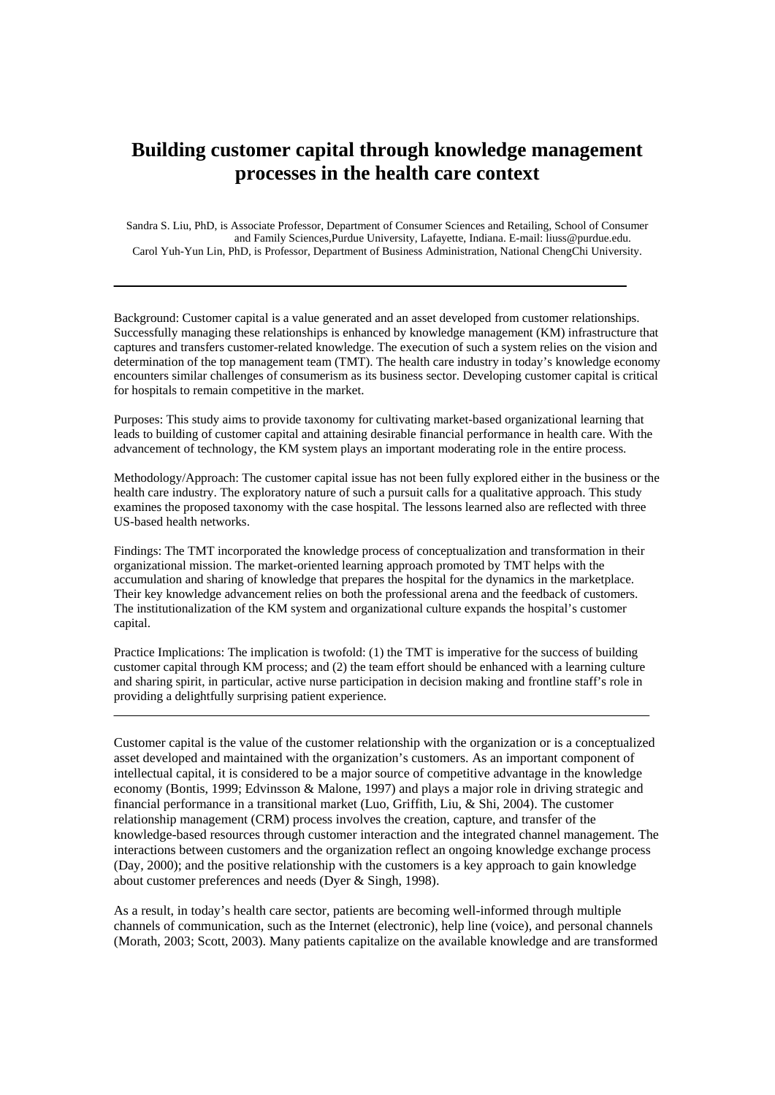# **Building customer capital through knowledge management processes in the health care context**

Sandra S. Liu, PhD, is Associate Professor, Department of Consumer Sciences and Retailing, School of Consumer and Family Sciences,Purdue University, Lafayette, Indiana. E-mail: liuss@purdue.edu. Carol Yuh-Yun Lin, PhD, is Professor, Department of Business Administration, National ChengChi University.

Background: Customer capital is a value generated and an asset developed from customer relationships. Successfully managing these relationships is enhanced by knowledge management (KM) infrastructure that captures and transfers customer-related knowledge. The execution of such a system relies on the vision and determination of the top management team (TMT). The health care industry in today's knowledge economy encounters similar challenges of consumerism as its business sector. Developing customer capital is critical for hospitals to remain competitive in the market.

Purposes: This study aims to provide taxonomy for cultivating market-based organizational learning that leads to building of customer capital and attaining desirable financial performance in health care. With the advancement of technology, the KM system plays an important moderating role in the entire process.

Methodology/Approach: The customer capital issue has not been fully explored either in the business or the health care industry. The exploratory nature of such a pursuit calls for a qualitative approach. This study examines the proposed taxonomy with the case hospital. The lessons learned also are reflected with three US-based health networks.

Findings: The TMT incorporated the knowledge process of conceptualization and transformation in their organizational mission. The market-oriented learning approach promoted by TMT helps with the accumulation and sharing of knowledge that prepares the hospital for the dynamics in the marketplace. Their key knowledge advancement relies on both the professional arena and the feedback of customers. The institutionalization of the KM system and organizational culture expands the hospital's customer capital.

Practice Implications: The implication is twofold: (1) the TMT is imperative for the success of building customer capital through KM process; and (2) the team effort should be enhanced with a learning culture and sharing spirit, in particular, active nurse participation in decision making and frontline staff's role in providing a delightfully surprising patient experience.

Customer capital is the value of the customer relationship with the organization or is a conceptualized asset developed and maintained with the organization's customers. As an important component of intellectual capital, it is considered to be a major source of competitive advantage in the knowledge economy (Bontis, 1999; Edvinsson & Malone, 1997) and plays a major role in driving strategic and financial performance in a transitional market (Luo, Griffith, Liu, & Shi, 2004). The customer relationship management (CRM) process involves the creation, capture, and transfer of the knowledge-based resources through customer interaction and the integrated channel management. The interactions between customers and the organization reflect an ongoing knowledge exchange process (Day, 2000); and the positive relationship with the customers is a key approach to gain knowledge about customer preferences and needs (Dyer & Singh, 1998).

As a result, in today's health care sector, patients are becoming well-informed through multiple channels of communication, such as the Internet (electronic), help line (voice), and personal channels (Morath, 2003; Scott, 2003). Many patients capitalize on the available knowledge and are transformed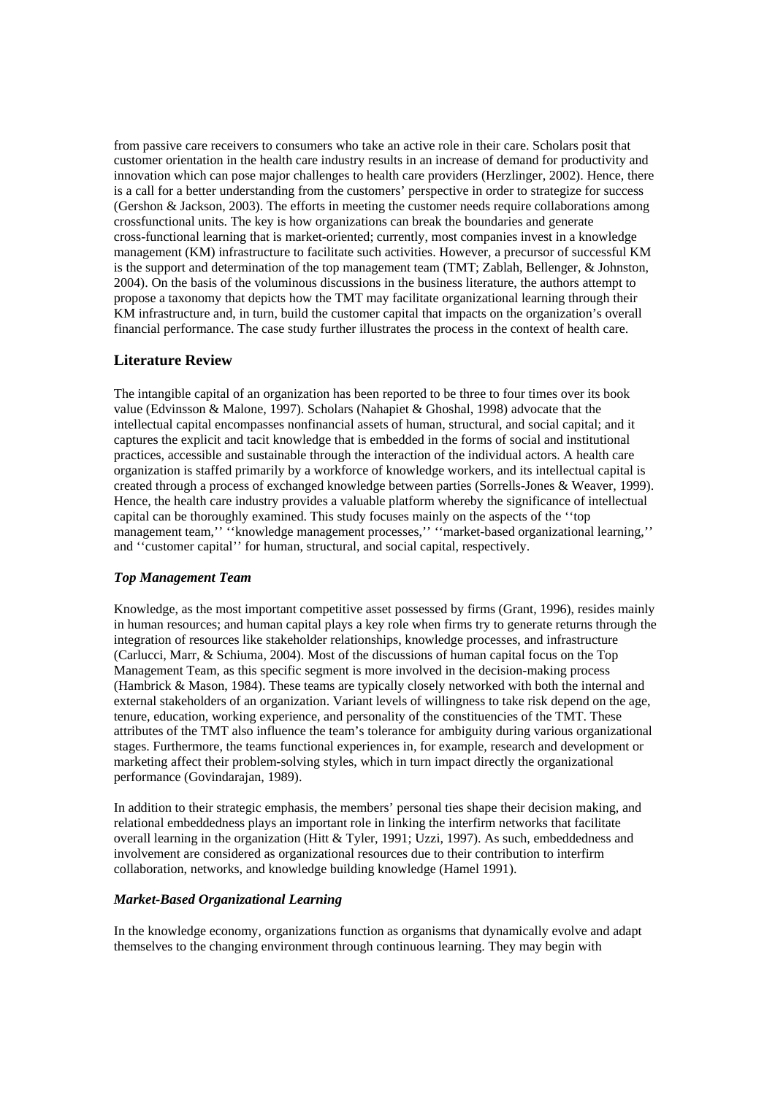from passive care receivers to consumers who take an active role in their care. Scholars posit that customer orientation in the health care industry results in an increase of demand for productivity and innovation which can pose major challenges to health care providers (Herzlinger, 2002). Hence, there is a call for a better understanding from the customers' perspective in order to strategize for success (Gershon & Jackson, 2003). The efforts in meeting the customer needs require collaborations among crossfunctional units. The key is how organizations can break the boundaries and generate cross-functional learning that is market-oriented; currently, most companies invest in a knowledge management (KM) infrastructure to facilitate such activities. However, a precursor of successful KM is the support and determination of the top management team (TMT; Zablah, Bellenger, & Johnston, 2004). On the basis of the voluminous discussions in the business literature, the authors attempt to propose a taxonomy that depicts how the TMT may facilitate organizational learning through their KM infrastructure and, in turn, build the customer capital that impacts on the organization's overall financial performance. The case study further illustrates the process in the context of health care.

# **Literature Review**

The intangible capital of an organization has been reported to be three to four times over its book value (Edvinsson & Malone, 1997). Scholars (Nahapiet & Ghoshal, 1998) advocate that the intellectual capital encompasses nonfinancial assets of human, structural, and social capital; and it captures the explicit and tacit knowledge that is embedded in the forms of social and institutional practices, accessible and sustainable through the interaction of the individual actors. A health care organization is staffed primarily by a workforce of knowledge workers, and its intellectual capital is created through a process of exchanged knowledge between parties (Sorrells-Jones & Weaver, 1999). Hence, the health care industry provides a valuable platform whereby the significance of intellectual capital can be thoroughly examined. This study focuses mainly on the aspects of the ''top management team,'' ''knowledge management processes,'' ''market-based organizational learning,'' and ''customer capital'' for human, structural, and social capital, respectively.

#### *Top Management Team*

Knowledge, as the most important competitive asset possessed by firms (Grant, 1996), resides mainly in human resources; and human capital plays a key role when firms try to generate returns through the integration of resources like stakeholder relationships, knowledge processes, and infrastructure (Carlucci, Marr, & Schiuma, 2004). Most of the discussions of human capital focus on the Top Management Team, as this specific segment is more involved in the decision-making process (Hambrick & Mason, 1984). These teams are typically closely networked with both the internal and external stakeholders of an organization. Variant levels of willingness to take risk depend on the age, tenure, education, working experience, and personality of the constituencies of the TMT. These attributes of the TMT also influence the team's tolerance for ambiguity during various organizational stages. Furthermore, the teams functional experiences in, for example, research and development or marketing affect their problem-solving styles, which in turn impact directly the organizational performance (Govindarajan, 1989).

In addition to their strategic emphasis, the members' personal ties shape their decision making, and relational embeddedness plays an important role in linking the interfirm networks that facilitate overall learning in the organization (Hitt & Tyler, 1991; Uzzi, 1997). As such, embeddedness and involvement are considered as organizational resources due to their contribution to interfirm collaboration, networks, and knowledge building knowledge (Hamel 1991).

#### *Market-Based Organizational Learning*

In the knowledge economy, organizations function as organisms that dynamically evolve and adapt themselves to the changing environment through continuous learning. They may begin with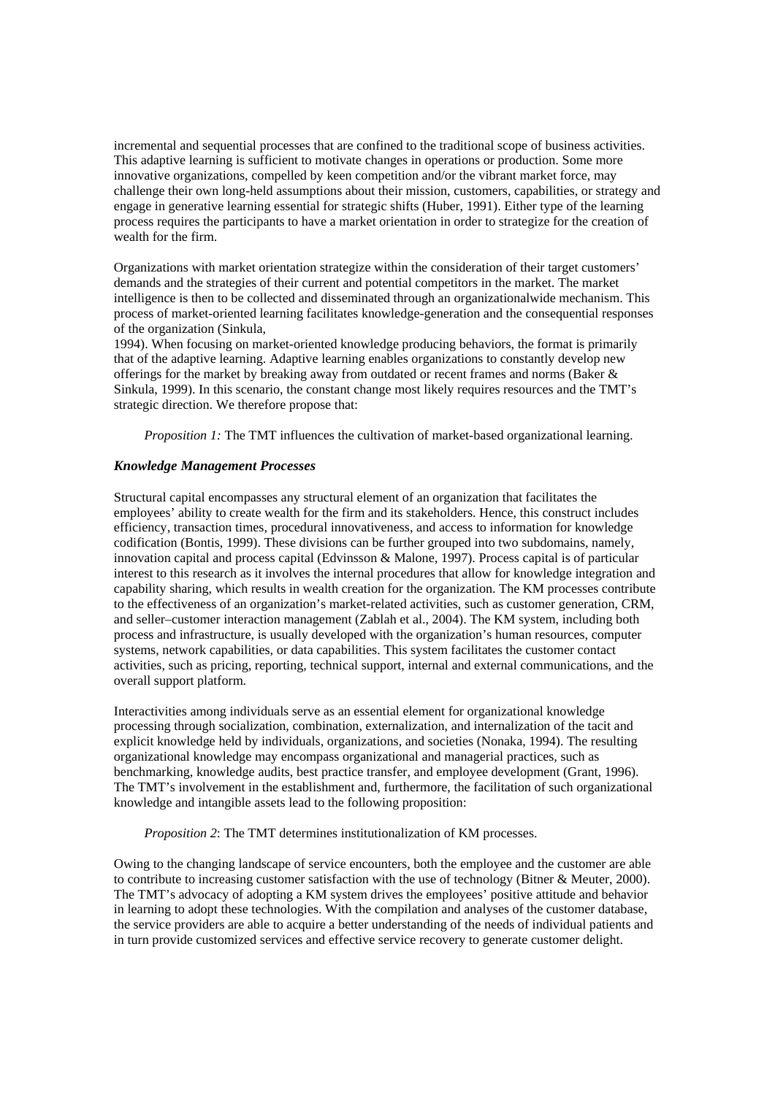incremental and sequential processes that are confined to the traditional scope of business activities. This adaptive learning is sufficient to motivate changes in operations or production. Some more innovative organizations, compelled by keen competition and/or the vibrant market force, may challenge their own long-held assumptions about their mission, customers, capabilities, or strategy and engage in generative learning essential for strategic shifts (Huber, 1991). Either type of the learning process requires the participants to have a market orientation in order to strategize for the creation of wealth for the firm.

Organizations with market orientation strategize within the consideration of their target customers' demands and the strategies of their current and potential competitors in the market. The market intelligence is then to be collected and disseminated through an organizationalwide mechanism. This process of market-oriented learning facilitates knowledge-generation and the consequential responses of the organization (Sinkula,

1994). When focusing on market-oriented knowledge producing behaviors, the format is primarily that of the adaptive learning. Adaptive learning enables organizations to constantly develop new offerings for the market by breaking away from outdated or recent frames and norms (Baker & Sinkula, 1999). In this scenario, the constant change most likely requires resources and the TMT's strategic direction. We therefore propose that:

*Proposition 1:* The TMT influences the cultivation of market-based organizational learning.

#### *Knowledge Management Processes*

Structural capital encompasses any structural element of an organization that facilitates the employees' ability to create wealth for the firm and its stakeholders. Hence, this construct includes efficiency, transaction times, procedural innovativeness, and access to information for knowledge codification (Bontis, 1999). These divisions can be further grouped into two subdomains, namely, innovation capital and process capital (Edvinsson & Malone, 1997). Process capital is of particular interest to this research as it involves the internal procedures that allow for knowledge integration and capability sharing, which results in wealth creation for the organization. The KM processes contribute to the effectiveness of an organization's market-related activities, such as customer generation, CRM, and seller–customer interaction management (Zablah et al., 2004). The KM system, including both process and infrastructure, is usually developed with the organization's human resources, computer systems, network capabilities, or data capabilities. This system facilitates the customer contact activities, such as pricing, reporting, technical support, internal and external communications, and the overall support platform.

Interactivities among individuals serve as an essential element for organizational knowledge processing through socialization, combination, externalization, and internalization of the tacit and explicit knowledge held by individuals, organizations, and societies (Nonaka, 1994). The resulting organizational knowledge may encompass organizational and managerial practices, such as benchmarking, knowledge audits, best practice transfer, and employee development (Grant, 1996). The TMT's involvement in the establishment and, furthermore, the facilitation of such organizational knowledge and intangible assets lead to the following proposition:

*Proposition 2*: The TMT determines institutionalization of KM processes.

Owing to the changing landscape of service encounters, both the employee and the customer are able to contribute to increasing customer satisfaction with the use of technology (Bitner & Meuter, 2000). The TMT's advocacy of adopting a KM system drives the employees' positive attitude and behavior in learning to adopt these technologies. With the compilation and analyses of the customer database, the service providers are able to acquire a better understanding of the needs of individual patients and in turn provide customized services and effective service recovery to generate customer delight.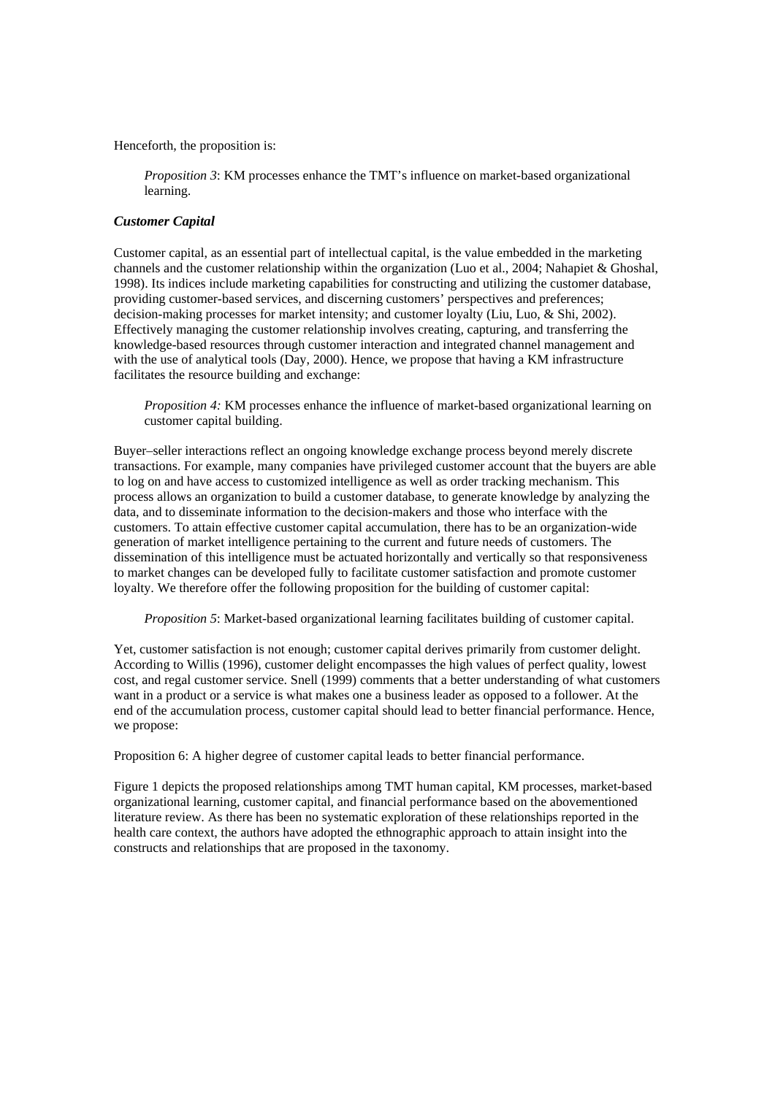Henceforth, the proposition is:

*Proposition 3*: KM processes enhance the TMT's influence on market-based organizational learning.

#### *Customer Capital*

Customer capital, as an essential part of intellectual capital, is the value embedded in the marketing channels and the customer relationship within the organization (Luo et al., 2004; Nahapiet & Ghoshal, 1998). Its indices include marketing capabilities for constructing and utilizing the customer database, providing customer-based services, and discerning customers' perspectives and preferences; decision-making processes for market intensity; and customer loyalty (Liu, Luo, & Shi, 2002). Effectively managing the customer relationship involves creating, capturing, and transferring the knowledge-based resources through customer interaction and integrated channel management and with the use of analytical tools (Day, 2000). Hence, we propose that having a KM infrastructure facilitates the resource building and exchange:

*Proposition 4:* KM processes enhance the influence of market-based organizational learning on customer capital building.

Buyer–seller interactions reflect an ongoing knowledge exchange process beyond merely discrete transactions. For example, many companies have privileged customer account that the buyers are able to log on and have access to customized intelligence as well as order tracking mechanism. This process allows an organization to build a customer database, to generate knowledge by analyzing the data, and to disseminate information to the decision-makers and those who interface with the customers. To attain effective customer capital accumulation, there has to be an organization-wide generation of market intelligence pertaining to the current and future needs of customers. The dissemination of this intelligence must be actuated horizontally and vertically so that responsiveness to market changes can be developed fully to facilitate customer satisfaction and promote customer loyalty. We therefore offer the following proposition for the building of customer capital:

*Proposition 5*: Market-based organizational learning facilitates building of customer capital.

Yet, customer satisfaction is not enough; customer capital derives primarily from customer delight. According to Willis (1996), customer delight encompasses the high values of perfect quality, lowest cost, and regal customer service. Snell (1999) comments that a better understanding of what customers want in a product or a service is what makes one a business leader as opposed to a follower. At the end of the accumulation process, customer capital should lead to better financial performance. Hence, we propose:

Proposition 6: A higher degree of customer capital leads to better financial performance.

Figure 1 depicts the proposed relationships among TMT human capital, KM processes, market-based organizational learning, customer capital, and financial performance based on the abovementioned literature review. As there has been no systematic exploration of these relationships reported in the health care context, the authors have adopted the ethnographic approach to attain insight into the constructs and relationships that are proposed in the taxonomy.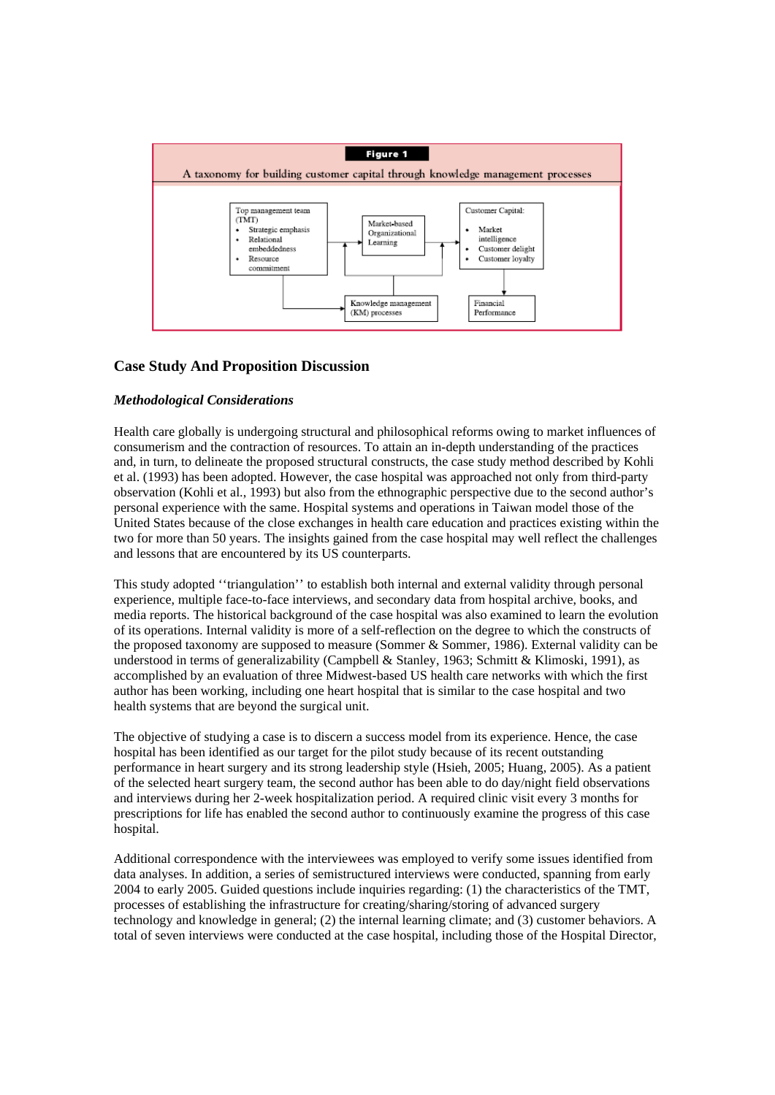

# **Case Study And Proposition Discussion**

## *Methodological Considerations*

Health care globally is undergoing structural and philosophical reforms owing to market influences of consumerism and the contraction of resources. To attain an in-depth understanding of the practices and, in turn, to delineate the proposed structural constructs, the case study method described by Kohli et al. (1993) has been adopted. However, the case hospital was approached not only from third-party observation (Kohli et al., 1993) but also from the ethnographic perspective due to the second author's personal experience with the same. Hospital systems and operations in Taiwan model those of the United States because of the close exchanges in health care education and practices existing within the two for more than 50 years. The insights gained from the case hospital may well reflect the challenges and lessons that are encountered by its US counterparts.

This study adopted ''triangulation'' to establish both internal and external validity through personal experience, multiple face-to-face interviews, and secondary data from hospital archive, books, and media reports. The historical background of the case hospital was also examined to learn the evolution of its operations. Internal validity is more of a self-reflection on the degree to which the constructs of the proposed taxonomy are supposed to measure (Sommer & Sommer, 1986). External validity can be understood in terms of generalizability (Campbell & Stanley, 1963; Schmitt & Klimoski, 1991), as accomplished by an evaluation of three Midwest-based US health care networks with which the first author has been working, including one heart hospital that is similar to the case hospital and two health systems that are beyond the surgical unit.

The objective of studying a case is to discern a success model from its experience. Hence, the case hospital has been identified as our target for the pilot study because of its recent outstanding performance in heart surgery and its strong leadership style (Hsieh, 2005; Huang, 2005). As a patient of the selected heart surgery team, the second author has been able to do day/night field observations and interviews during her 2-week hospitalization period. A required clinic visit every 3 months for prescriptions for life has enabled the second author to continuously examine the progress of this case hospital.

Additional correspondence with the interviewees was employed to verify some issues identified from data analyses. In addition, a series of semistructured interviews were conducted, spanning from early 2004 to early 2005. Guided questions include inquiries regarding: (1) the characteristics of the TMT, processes of establishing the infrastructure for creating/sharing/storing of advanced surgery technology and knowledge in general; (2) the internal learning climate; and (3) customer behaviors. A total of seven interviews were conducted at the case hospital, including those of the Hospital Director,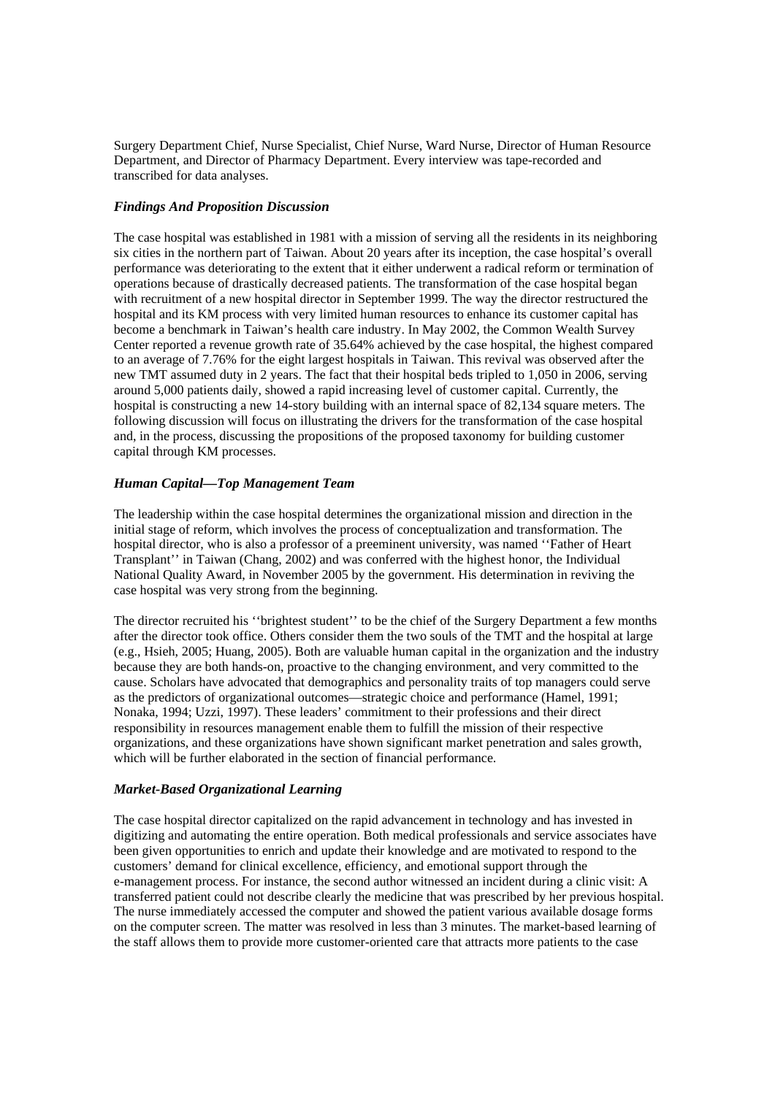Surgery Department Chief, Nurse Specialist, Chief Nurse, Ward Nurse, Director of Human Resource Department, and Director of Pharmacy Department. Every interview was tape-recorded and transcribed for data analyses.

## *Findings And Proposition Discussion*

The case hospital was established in 1981 with a mission of serving all the residents in its neighboring six cities in the northern part of Taiwan. About 20 years after its inception, the case hospital's overall performance was deteriorating to the extent that it either underwent a radical reform or termination of operations because of drastically decreased patients. The transformation of the case hospital began with recruitment of a new hospital director in September 1999. The way the director restructured the hospital and its KM process with very limited human resources to enhance its customer capital has become a benchmark in Taiwan's health care industry. In May 2002, the Common Wealth Survey Center reported a revenue growth rate of 35.64% achieved by the case hospital, the highest compared to an average of 7.76% for the eight largest hospitals in Taiwan. This revival was observed after the new TMT assumed duty in 2 years. The fact that their hospital beds tripled to 1,050 in 2006, serving around 5,000 patients daily, showed a rapid increasing level of customer capital. Currently, the hospital is constructing a new 14-story building with an internal space of 82,134 square meters. The following discussion will focus on illustrating the drivers for the transformation of the case hospital and, in the process, discussing the propositions of the proposed taxonomy for building customer capital through KM processes.

## *Human Capital—Top Management Team*

The leadership within the case hospital determines the organizational mission and direction in the initial stage of reform, which involves the process of conceptualization and transformation. The hospital director, who is also a professor of a preeminent university, was named ''Father of Heart Transplant'' in Taiwan (Chang, 2002) and was conferred with the highest honor, the Individual National Quality Award, in November 2005 by the government. His determination in reviving the case hospital was very strong from the beginning.

The director recruited his ''brightest student'' to be the chief of the Surgery Department a few months after the director took office. Others consider them the two souls of the TMT and the hospital at large (e.g., Hsieh, 2005; Huang, 2005). Both are valuable human capital in the organization and the industry because they are both hands-on, proactive to the changing environment, and very committed to the cause. Scholars have advocated that demographics and personality traits of top managers could serve as the predictors of organizational outcomes—strategic choice and performance (Hamel, 1991; Nonaka, 1994; Uzzi, 1997). These leaders' commitment to their professions and their direct responsibility in resources management enable them to fulfill the mission of their respective organizations, and these organizations have shown significant market penetration and sales growth, which will be further elaborated in the section of financial performance.

## *Market-Based Organizational Learning*

The case hospital director capitalized on the rapid advancement in technology and has invested in digitizing and automating the entire operation. Both medical professionals and service associates have been given opportunities to enrich and update their knowledge and are motivated to respond to the customers' demand for clinical excellence, efficiency, and emotional support through the e-management process. For instance, the second author witnessed an incident during a clinic visit: A transferred patient could not describe clearly the medicine that was prescribed by her previous hospital. The nurse immediately accessed the computer and showed the patient various available dosage forms on the computer screen. The matter was resolved in less than 3 minutes. The market-based learning of the staff allows them to provide more customer-oriented care that attracts more patients to the case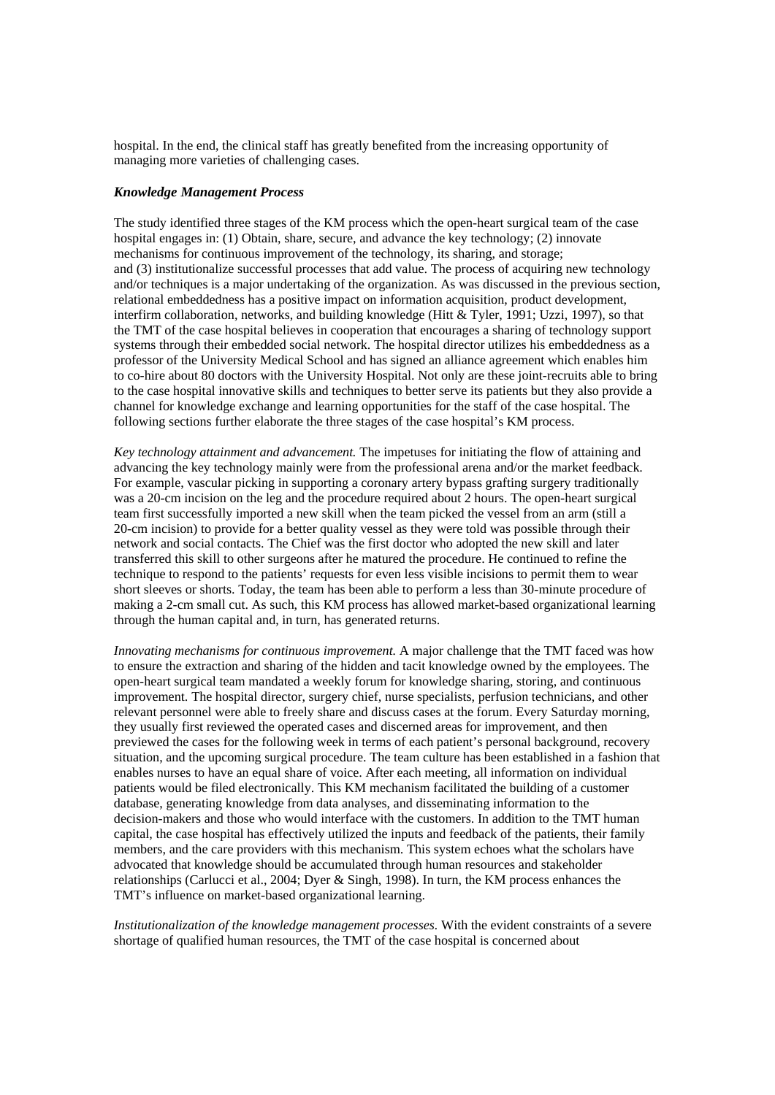hospital. In the end, the clinical staff has greatly benefited from the increasing opportunity of managing more varieties of challenging cases.

#### *Knowledge Management Process*

The study identified three stages of the KM process which the open-heart surgical team of the case hospital engages in: (1) Obtain, share, secure, and advance the key technology; (2) innovate mechanisms for continuous improvement of the technology, its sharing, and storage; and (3) institutionalize successful processes that add value. The process of acquiring new technology and/or techniques is a major undertaking of the organization. As was discussed in the previous section, relational embeddedness has a positive impact on information acquisition, product development, interfirm collaboration, networks, and building knowledge (Hitt & Tyler, 1991; Uzzi, 1997), so that the TMT of the case hospital believes in cooperation that encourages a sharing of technology support systems through their embedded social network. The hospital director utilizes his embeddedness as a professor of the University Medical School and has signed an alliance agreement which enables him to co-hire about 80 doctors with the University Hospital. Not only are these joint-recruits able to bring to the case hospital innovative skills and techniques to better serve its patients but they also provide a channel for knowledge exchange and learning opportunities for the staff of the case hospital. The following sections further elaborate the three stages of the case hospital's KM process.

*Key technology attainment and advancement.* The impetuses for initiating the flow of attaining and advancing the key technology mainly were from the professional arena and/or the market feedback. For example, vascular picking in supporting a coronary artery bypass grafting surgery traditionally was a 20-cm incision on the leg and the procedure required about 2 hours. The open-heart surgical team first successfully imported a new skill when the team picked the vessel from an arm (still a 20-cm incision) to provide for a better quality vessel as they were told was possible through their network and social contacts. The Chief was the first doctor who adopted the new skill and later transferred this skill to other surgeons after he matured the procedure. He continued to refine the technique to respond to the patients' requests for even less visible incisions to permit them to wear short sleeves or shorts. Today, the team has been able to perform a less than 30-minute procedure of making a 2-cm small cut. As such, this KM process has allowed market-based organizational learning through the human capital and, in turn, has generated returns.

*Innovating mechanisms for continuous improvement.* A major challenge that the TMT faced was how to ensure the extraction and sharing of the hidden and tacit knowledge owned by the employees. The open-heart surgical team mandated a weekly forum for knowledge sharing, storing, and continuous improvement. The hospital director, surgery chief, nurse specialists, perfusion technicians, and other relevant personnel were able to freely share and discuss cases at the forum. Every Saturday morning, they usually first reviewed the operated cases and discerned areas for improvement, and then previewed the cases for the following week in terms of each patient's personal background, recovery situation, and the upcoming surgical procedure. The team culture has been established in a fashion that enables nurses to have an equal share of voice. After each meeting, all information on individual patients would be filed electronically. This KM mechanism facilitated the building of a customer database, generating knowledge from data analyses, and disseminating information to the decision-makers and those who would interface with the customers. In addition to the TMT human capital, the case hospital has effectively utilized the inputs and feedback of the patients, their family members, and the care providers with this mechanism. This system echoes what the scholars have advocated that knowledge should be accumulated through human resources and stakeholder relationships (Carlucci et al., 2004; Dyer & Singh, 1998). In turn, the KM process enhances the TMT's influence on market-based organizational learning.

*Institutionalization of the knowledge management processes.* With the evident constraints of a severe shortage of qualified human resources, the TMT of the case hospital is concerned about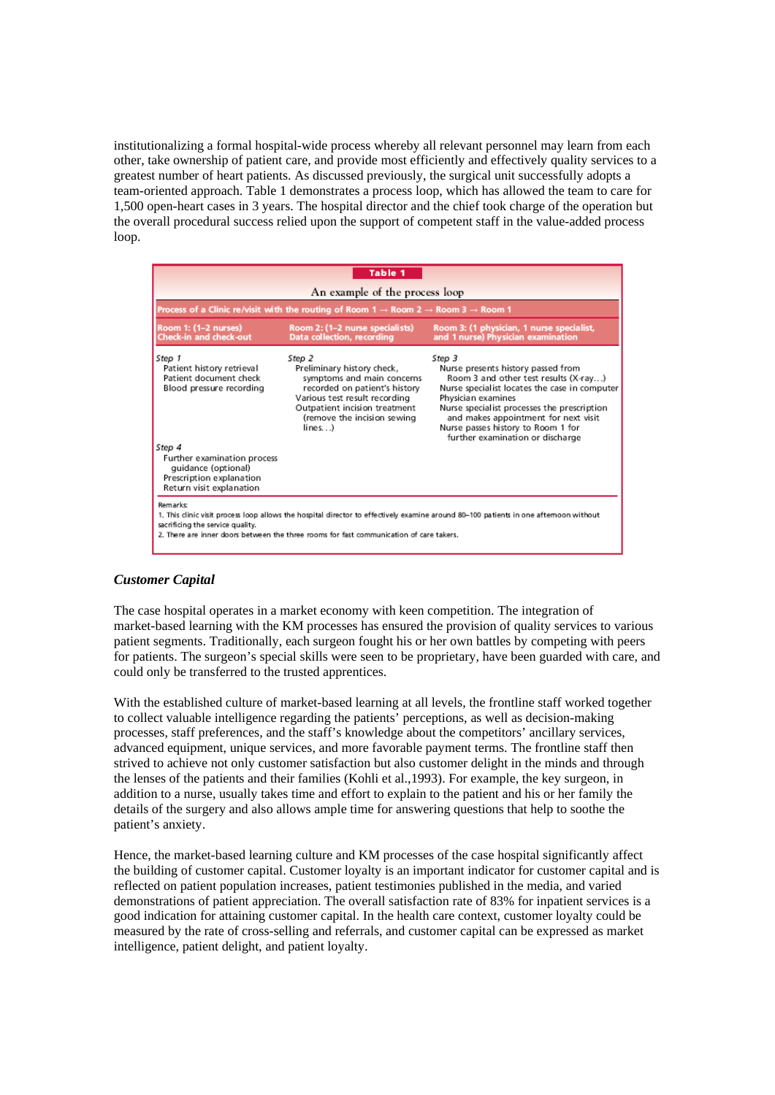institutionalizing a formal hospital-wide process whereby all relevant personnel may learn from each other, take ownership of patient care, and provide most efficiently and effectively quality services to a greatest number of heart patients. As discussed previously, the surgical unit successfully adopts a team-oriented approach. Table 1 demonstrates a process loop, which has allowed the team to care for 1,500 open-heart cases in 3 years. The hospital director and the chief took charge of the operation but the overall procedural success relied upon the support of competent staff in the value-added process loop.

| <b>Table 1</b>                                                                                                                                                                                                                                                                  |                                                                                                                                                                                                               |                                                                                                                                                                                                                                                                                                                               |  |  |  |
|---------------------------------------------------------------------------------------------------------------------------------------------------------------------------------------------------------------------------------------------------------------------------------|---------------------------------------------------------------------------------------------------------------------------------------------------------------------------------------------------------------|-------------------------------------------------------------------------------------------------------------------------------------------------------------------------------------------------------------------------------------------------------------------------------------------------------------------------------|--|--|--|
| An example of the process loop                                                                                                                                                                                                                                                  |                                                                                                                                                                                                               |                                                                                                                                                                                                                                                                                                                               |  |  |  |
| Process of a Clinic re/visit with the routing of Room 1 $\rightarrow$ Room 2 $\rightarrow$ Room 3 $\rightarrow$ Room 1                                                                                                                                                          |                                                                                                                                                                                                               |                                                                                                                                                                                                                                                                                                                               |  |  |  |
| Room 1: (1-2 nurses)<br><b>Check-in and check-out</b>                                                                                                                                                                                                                           | Room 2: (1-2 nurse specialists)<br>Data collection, recording                                                                                                                                                 | Room 3: (1 physician, 1 nurse specialist,<br>and 1 nurse) Physician examination                                                                                                                                                                                                                                               |  |  |  |
| Step 1<br>Patient history retrieval<br>Patient document check<br>Blood pressure recording<br>Step 4<br>Further examination process<br>quidance (optional)<br>Prescription explanation<br>Return visit explanation                                                               | Step 2<br>Preliminary history check,<br>symptoms and main concerns<br>recorded on patient's history<br>Various test result recording<br>Outpatient incision treatment<br>(remove the incision sewing<br>lines | Step 3<br>Nurse presents history passed from<br>Room 3 and other test results (X-ray)<br>Nurse specialist locates the case in computer<br>Physician examines<br>Nurse specialist processes the prescription<br>and makes appointment for next visit<br>Nurse passes history to Room 1 for<br>further examination or discharge |  |  |  |
| Remarks:<br>1. This clinic visit process loop allows the hospital director to effectively examine around 80-100 patients in one aftemoon without<br>sacrificing the service quality.<br>2. There are inner doors between the three rooms for fast communication of care takers. |                                                                                                                                                                                                               |                                                                                                                                                                                                                                                                                                                               |  |  |  |

# *Customer Capital*

The case hospital operates in a market economy with keen competition. The integration of market-based learning with the KM processes has ensured the provision of quality services to various patient segments. Traditionally, each surgeon fought his or her own battles by competing with peers for patients. The surgeon's special skills were seen to be proprietary, have been guarded with care, and could only be transferred to the trusted apprentices.

With the established culture of market-based learning at all levels, the frontline staff worked together to collect valuable intelligence regarding the patients' perceptions, as well as decision-making processes, staff preferences, and the staff's knowledge about the competitors' ancillary services, advanced equipment, unique services, and more favorable payment terms. The frontline staff then strived to achieve not only customer satisfaction but also customer delight in the minds and through the lenses of the patients and their families (Kohli et al.,1993). For example, the key surgeon, in addition to a nurse, usually takes time and effort to explain to the patient and his or her family the details of the surgery and also allows ample time for answering questions that help to soothe the patient's anxiety.

Hence, the market-based learning culture and KM processes of the case hospital significantly affect the building of customer capital. Customer loyalty is an important indicator for customer capital and is reflected on patient population increases, patient testimonies published in the media, and varied demonstrations of patient appreciation. The overall satisfaction rate of 83% for inpatient services is a good indication for attaining customer capital. In the health care context, customer loyalty could be measured by the rate of cross-selling and referrals, and customer capital can be expressed as market intelligence, patient delight, and patient loyalty.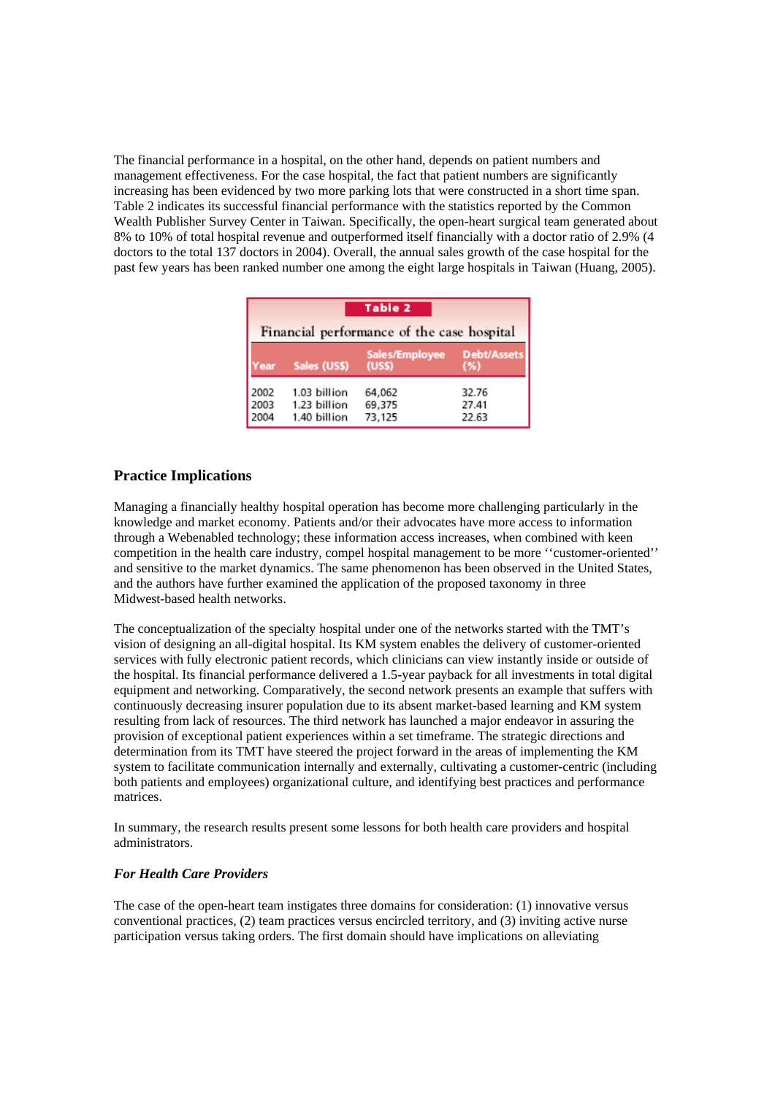The financial performance in a hospital, on the other hand, depends on patient numbers and management effectiveness. For the case hospital, the fact that patient numbers are significantly increasing has been evidenced by two more parking lots that were constructed in a short time span. Table 2 indicates its successful financial performance with the statistics reported by the Common Wealth Publisher Survey Center in Taiwan. Specifically, the open-heart surgical team generated about 8% to 10% of total hospital revenue and outperformed itself financially with a doctor ratio of 2.9% (4 doctors to the total 137 doctors in 2004). Overall, the annual sales growth of the case hospital for the past few years has been ranked number one among the eight large hospitals in Taiwan (Huang, 2005).

| <b>Table 2</b>                             |                                              |                                |                           |  |  |
|--------------------------------------------|----------------------------------------------|--------------------------------|---------------------------|--|--|
| Financial performance of the case hospital |                                              |                                |                           |  |  |
| 'ear                                       | Sales (US\$)                                 | <b>Sales/Employee</b><br>(USS) | <b>Debt/Assets</b><br>(%) |  |  |
| 2002<br>2003<br>2004                       | 1.03 billion<br>1.23 billion<br>1.40 billion | 64,062<br>69,375<br>73,125     | 32.76<br>27.41<br>22.63   |  |  |

## **Practice Implications**

Managing a financially healthy hospital operation has become more challenging particularly in the knowledge and market economy. Patients and/or their advocates have more access to information through a Webenabled technology; these information access increases, when combined with keen competition in the health care industry, compel hospital management to be more ''customer-oriented'' and sensitive to the market dynamics. The same phenomenon has been observed in the United States, and the authors have further examined the application of the proposed taxonomy in three Midwest-based health networks.

The conceptualization of the specialty hospital under one of the networks started with the TMT's vision of designing an all-digital hospital. Its KM system enables the delivery of customer-oriented services with fully electronic patient records, which clinicians can view instantly inside or outside of the hospital. Its financial performance delivered a 1.5-year payback for all investments in total digital equipment and networking. Comparatively, the second network presents an example that suffers with continuously decreasing insurer population due to its absent market-based learning and KM system resulting from lack of resources. The third network has launched a major endeavor in assuring the provision of exceptional patient experiences within a set timeframe. The strategic directions and determination from its TMT have steered the project forward in the areas of implementing the KM system to facilitate communication internally and externally, cultivating a customer-centric (including both patients and employees) organizational culture, and identifying best practices and performance matrices.

In summary, the research results present some lessons for both health care providers and hospital administrators.

## *For Health Care Providers*

The case of the open-heart team instigates three domains for consideration: (1) innovative versus conventional practices, (2) team practices versus encircled territory, and (3) inviting active nurse participation versus taking orders. The first domain should have implications on alleviating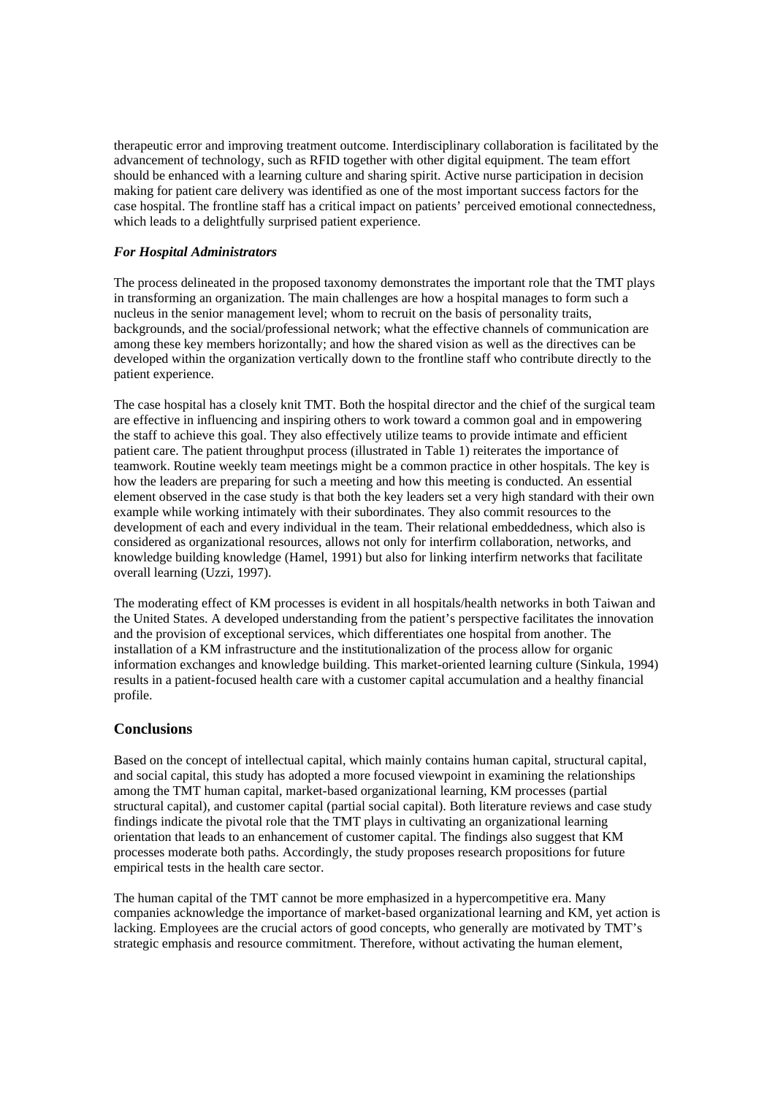therapeutic error and improving treatment outcome. Interdisciplinary collaboration is facilitated by the advancement of technology, such as RFID together with other digital equipment. The team effort should be enhanced with a learning culture and sharing spirit. Active nurse participation in decision making for patient care delivery was identified as one of the most important success factors for the case hospital. The frontline staff has a critical impact on patients' perceived emotional connectedness, which leads to a delightfully surprised patient experience.

## *For Hospital Administrators*

The process delineated in the proposed taxonomy demonstrates the important role that the TMT plays in transforming an organization. The main challenges are how a hospital manages to form such a nucleus in the senior management level; whom to recruit on the basis of personality traits, backgrounds, and the social/professional network; what the effective channels of communication are among these key members horizontally; and how the shared vision as well as the directives can be developed within the organization vertically down to the frontline staff who contribute directly to the patient experience.

The case hospital has a closely knit TMT. Both the hospital director and the chief of the surgical team are effective in influencing and inspiring others to work toward a common goal and in empowering the staff to achieve this goal. They also effectively utilize teams to provide intimate and efficient patient care. The patient throughput process (illustrated in Table 1) reiterates the importance of teamwork. Routine weekly team meetings might be a common practice in other hospitals. The key is how the leaders are preparing for such a meeting and how this meeting is conducted. An essential element observed in the case study is that both the key leaders set a very high standard with their own example while working intimately with their subordinates. They also commit resources to the development of each and every individual in the team. Their relational embeddedness, which also is considered as organizational resources, allows not only for interfirm collaboration, networks, and knowledge building knowledge (Hamel, 1991) but also for linking interfirm networks that facilitate overall learning (Uzzi, 1997).

The moderating effect of KM processes is evident in all hospitals/health networks in both Taiwan and the United States. A developed understanding from the patient's perspective facilitates the innovation and the provision of exceptional services, which differentiates one hospital from another. The installation of a KM infrastructure and the institutionalization of the process allow for organic information exchanges and knowledge building. This market-oriented learning culture (Sinkula, 1994) results in a patient-focused health care with a customer capital accumulation and a healthy financial profile.

# **Conclusions**

Based on the concept of intellectual capital, which mainly contains human capital, structural capital, and social capital, this study has adopted a more focused viewpoint in examining the relationships among the TMT human capital, market-based organizational learning, KM processes (partial structural capital), and customer capital (partial social capital). Both literature reviews and case study findings indicate the pivotal role that the TMT plays in cultivating an organizational learning orientation that leads to an enhancement of customer capital. The findings also suggest that KM processes moderate both paths. Accordingly, the study proposes research propositions for future empirical tests in the health care sector.

The human capital of the TMT cannot be more emphasized in a hypercompetitive era. Many companies acknowledge the importance of market-based organizational learning and KM, yet action is lacking. Employees are the crucial actors of good concepts, who generally are motivated by TMT's strategic emphasis and resource commitment. Therefore, without activating the human element,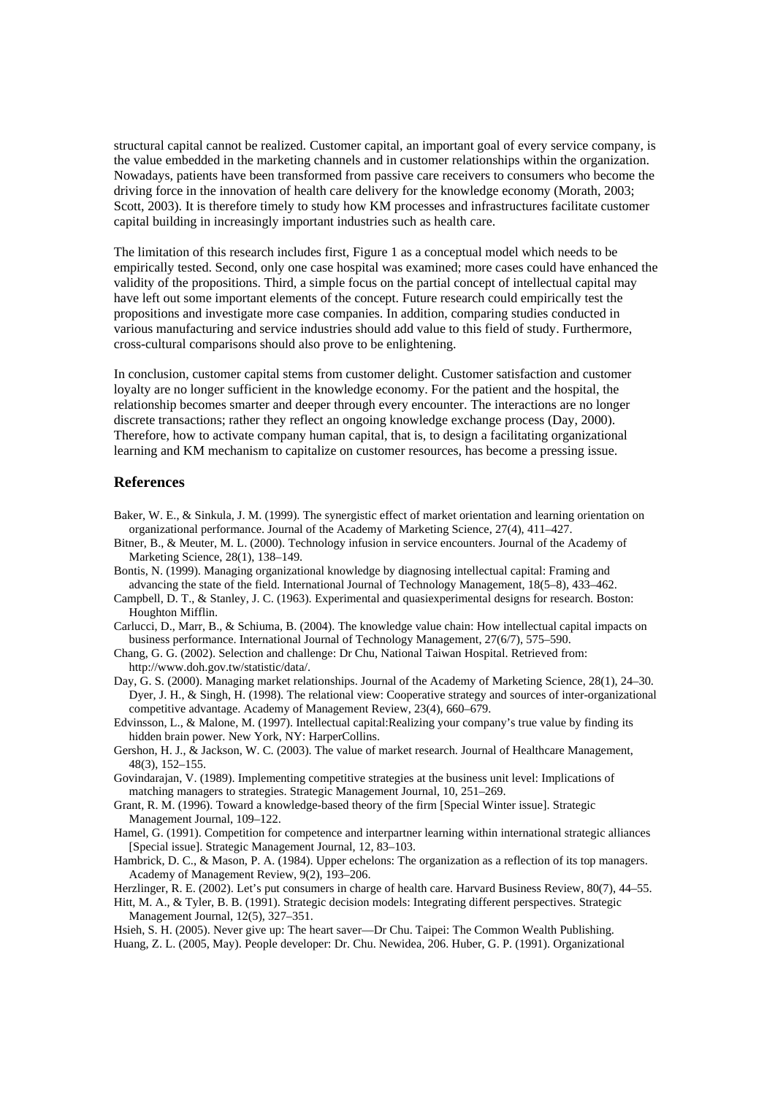structural capital cannot be realized. Customer capital, an important goal of every service company, is the value embedded in the marketing channels and in customer relationships within the organization. Nowadays, patients have been transformed from passive care receivers to consumers who become the driving force in the innovation of health care delivery for the knowledge economy (Morath, 2003; Scott, 2003). It is therefore timely to study how KM processes and infrastructures facilitate customer capital building in increasingly important industries such as health care.

The limitation of this research includes first, Figure 1 as a conceptual model which needs to be empirically tested. Second, only one case hospital was examined; more cases could have enhanced the validity of the propositions. Third, a simple focus on the partial concept of intellectual capital may have left out some important elements of the concept. Future research could empirically test the propositions and investigate more case companies. In addition, comparing studies conducted in various manufacturing and service industries should add value to this field of study. Furthermore, cross-cultural comparisons should also prove to be enlightening.

In conclusion, customer capital stems from customer delight. Customer satisfaction and customer loyalty are no longer sufficient in the knowledge economy. For the patient and the hospital, the relationship becomes smarter and deeper through every encounter. The interactions are no longer discrete transactions; rather they reflect an ongoing knowledge exchange process (Day, 2000). Therefore, how to activate company human capital, that is, to design a facilitating organizational learning and KM mechanism to capitalize on customer resources, has become a pressing issue.

## **References**

- Baker, W. E., & Sinkula, J. M. (1999). The synergistic effect of market orientation and learning orientation on organizational performance. Journal of the Academy of Marketing Science, 27(4), 411–427.
- Bitner, B., & Meuter, M. L. (2000). Technology infusion in service encounters. Journal of the Academy of Marketing Science, 28(1), 138–149.
- Bontis, N. (1999). Managing organizational knowledge by diagnosing intellectual capital: Framing and advancing the state of the field. International Journal of Technology Management, 18(5–8), 433–462.
- Campbell, D. T., & Stanley, J. C. (1963). Experimental and quasiexperimental designs for research. Boston: Houghton Mifflin.
- Carlucci, D., Marr, B., & Schiuma, B. (2004). The knowledge value chain: How intellectual capital impacts on business performance. International Journal of Technology Management, 27(6/7), 575–590.
- Chang, G. G. (2002). Selection and challenge: Dr Chu, National Taiwan Hospital. Retrieved from: http://www.doh.gov.tw/statistic/data/.
- Day, G. S. (2000). Managing market relationships. Journal of the Academy of Marketing Science, 28(1), 24–30. Dyer, J. H., & Singh, H. (1998). The relational view: Cooperative strategy and sources of inter-organizational competitive advantage. Academy of Management Review, 23(4), 660–679.
- Edvinsson, L., & Malone, M. (1997). Intellectual capital:Realizing your company's true value by finding its hidden brain power. New York, NY: HarperCollins.
- Gershon, H. J., & Jackson, W. C. (2003). The value of market research. Journal of Healthcare Management, 48(3), 152–155.
- Govindarajan, V. (1989). Implementing competitive strategies at the business unit level: Implications of matching managers to strategies. Strategic Management Journal, 10, 251–269.
- Grant, R. M. (1996). Toward a knowledge-based theory of the firm [Special Winter issue]. Strategic Management Journal, 109–122.
- Hamel, G. (1991). Competition for competence and interpartner learning within international strategic alliances [Special issue]. Strategic Management Journal, 12, 83–103.
- Hambrick, D. C., & Mason, P. A. (1984). Upper echelons: The organization as a reflection of its top managers. Academy of Management Review, 9(2), 193–206.
- Herzlinger, R. E. (2002). Let's put consumers in charge of health care. Harvard Business Review, 80(7), 44–55.
- Hitt, M. A., & Tyler, B. B. (1991). Strategic decision models: Integrating different perspectives. Strategic Management Journal, 12(5), 327–351.

Hsieh, S. H. (2005). Never give up: The heart saver—Dr Chu. Taipei: The Common Wealth Publishing. Huang, Z. L. (2005, May). People developer: Dr. Chu. Newidea, 206. Huber, G. P. (1991). Organizational